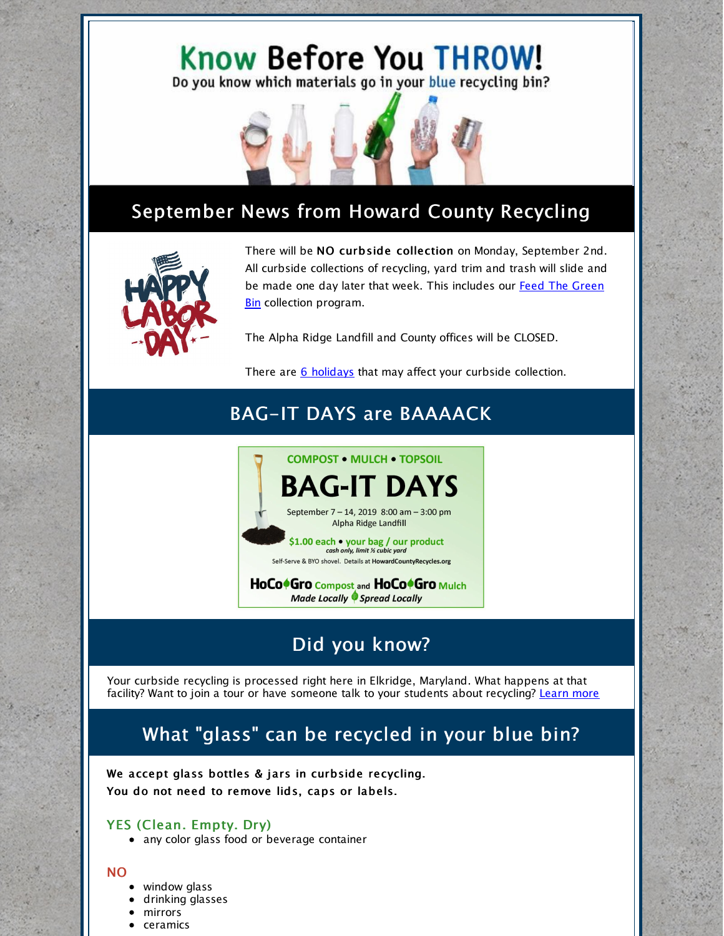# Know Before You THROW!

Do you know which materials go in your blue recycling bin?



## September News from Howard County Recycling



There will be NO curbside collection on Monday, September 2nd. All curbside collections of recycling, yard trim and trash will slide and be made one day later that week. This includes our Feed The Green Bin collection [program.](http://www.feedthegreenbin.org)

The Alpha Ridge Landfill and County offices will be CLOSED.

There are 6 [holidays](https://www.howardcountymd.gov/Departments/Public-Works/Bureau-Of-Environmental-Services/Curbside-Collections/Holiday-Schedule-for-Recycling-Trash) that may affect your curbside collection.

## BAG-IT DAYS are BAAAACK



HoCo<sup>6</sup>Gro Compost and HoCo<sup>6</sup>Gro Mulch **Made Locally Spread Locally** 

#### Did you know?

Your curbside recycling is processed right here in Elkridge, Maryland. What happens at that facility? Want to join a tour or have someone talk to your students about recycling? [Learn](https://www.youtube.com/watch?time_continue=19&v=hdGjiKJsgRk) more

## What "glass" can be recycled in your blue bin?

We accept glass bottles & jars in curbside recycling. You do not need to remove lids, caps or labels.

#### YES (Clean. Empty. Dry)

• any color glass food or beverage container

#### NO

- window glass
- drinking glasses
- mirrors
- ceramics